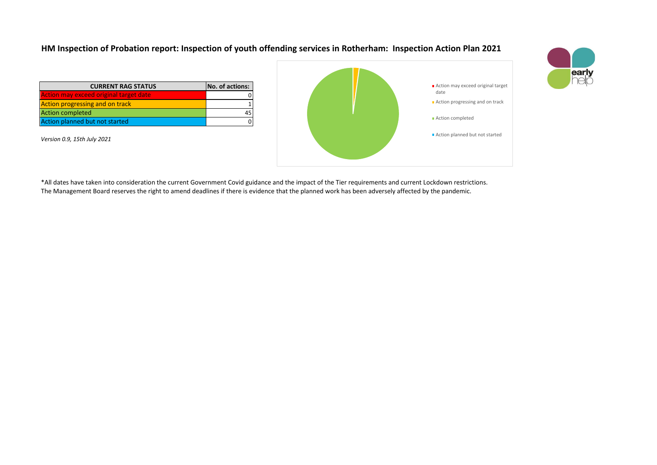## **HM Inspection of Probation report: Inspection of youth offending services in Rotherham: Inspection Action Plan 2021**

| <b>CURRENT RAG STATUS</b>              | No. of actions: |
|----------------------------------------|-----------------|
| Action may exceed original target date |                 |
| <b>Action progressing and on track</b> |                 |
| <b>Action completed</b>                |                 |
| Action planned but not started         |                 |

*Version 0.9, 15th July 2021*





\*All dates have taken into consideration the current Government Covid guidance and the impact of the Tier requirements and current Lockdown restrictions. The Management Board reserves the right to amend deadlines if there is evidence that the planned work has been adversely affected by the pandemic.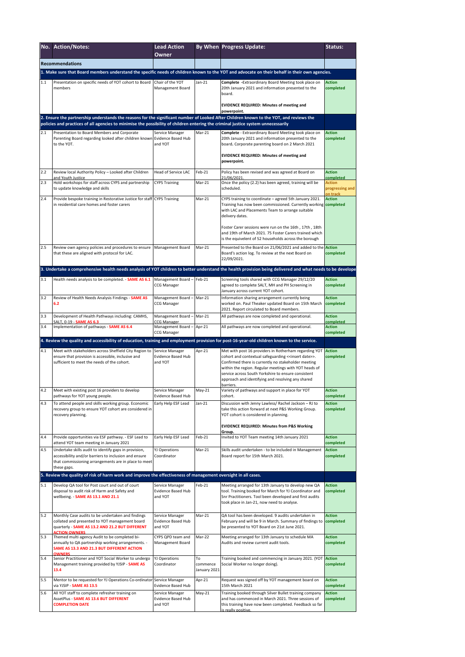|                                                                                                                                                                   | No. Action/Notes:                                                                                                                                                                                                                                                            | <b>Lead Action</b><br>Owner                      |                                | By When Progress Update:                                                                                                                                                                                                                                                                                          | Status:                                      |  |  |
|-------------------------------------------------------------------------------------------------------------------------------------------------------------------|------------------------------------------------------------------------------------------------------------------------------------------------------------------------------------------------------------------------------------------------------------------------------|--------------------------------------------------|--------------------------------|-------------------------------------------------------------------------------------------------------------------------------------------------------------------------------------------------------------------------------------------------------------------------------------------------------------------|----------------------------------------------|--|--|
|                                                                                                                                                                   | <b>Recommendations</b>                                                                                                                                                                                                                                                       |                                                  |                                |                                                                                                                                                                                                                                                                                                                   |                                              |  |  |
| 1. Make sure that Board members understand the specific needs of children known to the YOT and advocate on their behalf in their own agencies.                    |                                                                                                                                                                                                                                                                              |                                                  |                                |                                                                                                                                                                                                                                                                                                                   |                                              |  |  |
|                                                                                                                                                                   | Presentation on specific needs of YOT cohort to Board<br>members                                                                                                                                                                                                             | Chair of the YOT<br>Management Board             | Jan-21                         | Complete - Extraordinary Board Meeting took place on<br>20th January 2021 and information presented to the<br>board.                                                                                                                                                                                              | <b>Action</b><br>completed                   |  |  |
|                                                                                                                                                                   |                                                                                                                                                                                                                                                                              |                                                  |                                | <b>EVIDENCE REQUIRED: Minutes of meeting and</b><br>powerpoint.                                                                                                                                                                                                                                                   |                                              |  |  |
|                                                                                                                                                                   | 2. Ensure the partnership understands the reasons for the significant number of Looked After Children known to the YOT, and reviews the<br>policies and practices of all agencies to minimise the possibility of children entering the criminal justice system unnecessarily |                                                  |                                |                                                                                                                                                                                                                                                                                                                   |                                              |  |  |
| 2.1                                                                                                                                                               | Presentation to Board Members and Corporate                                                                                                                                                                                                                                  | Service Manager                                  | Mar-21                         | Complete - Extraordinary Board Meeting took place on                                                                                                                                                                                                                                                              | <b>Action</b>                                |  |  |
|                                                                                                                                                                   | Parenting Board regarding looked after children known Evidence Based Hub<br>to the YOT.                                                                                                                                                                                      | and YOT                                          |                                | 20th January 2021 and information presented to the<br>board. Corporate parenting board on 2 March 2021<br><b>EVIDENCE REQUIRED: Minutes of meeting and</b>                                                                                                                                                        | completed                                    |  |  |
|                                                                                                                                                                   |                                                                                                                                                                                                                                                                              |                                                  |                                | powerpoint.                                                                                                                                                                                                                                                                                                       |                                              |  |  |
| 2.2                                                                                                                                                               | Review local Authority Policy - Looked after Children<br>and Youth Justice                                                                                                                                                                                                   | Head of Service LAC                              | Feb-21                         | Policy has been revised and was agreed at Board on<br>21/06/2021                                                                                                                                                                                                                                                  | <b>Action</b><br>completed                   |  |  |
| 2.3                                                                                                                                                               | Hold workshops for staff across CYPS and partnership<br>to update knowledge and skills                                                                                                                                                                                       | <b>CYPS Training</b>                             | Mar-21                         | Once the policy (2.2) has been agreed, training will be<br>scheduled.                                                                                                                                                                                                                                             | <b>Action</b><br>progressing and<br>on track |  |  |
| 2.4                                                                                                                                                               | Provide bespoke training in Restorative Justice for staff CYPS Training<br>in residential care homes and foster carers                                                                                                                                                       |                                                  | Mar-21                         | CYPS training to coordinate - agreed 5th January 2021.<br>Training has now been commissioned. Currently working <b>completed</b><br>with LAC and Placements Team to arrange suitable<br>delivery dates.<br>Foster Carer sessions were run on the 16th, 17th, 18th                                                 | <b>Action</b>                                |  |  |
|                                                                                                                                                                   |                                                                                                                                                                                                                                                                              |                                                  |                                | and 19th of March 2021. 75 Foster Carers trained which<br>is the equivelent of 52 households across the borough                                                                                                                                                                                                   |                                              |  |  |
| 2.5                                                                                                                                                               | Review own agency policies and procedures to ensure Management Board<br>that these are aligned with protocol for LAC.                                                                                                                                                        |                                                  | Mar-21                         | Presented to the Board on 21/06/2021 and added to the Action<br>Board's action log. To review at the next Board on<br>22/09/2021.                                                                                                                                                                                 | completed                                    |  |  |
|                                                                                                                                                                   |                                                                                                                                                                                                                                                                              |                                                  |                                | 3. Undertake a comprehensive health needs analysis of YOT children to better understand the health provision being delivered and what needs to be develope                                                                                                                                                        |                                              |  |  |
| 3.1                                                                                                                                                               | Health needs analysis to be completed. - SAME AS 6.1                                                                                                                                                                                                                         | Management Board-<br>CCG Manager                 | Feb-21                         | Screening tools shared with CCG Manager 29/12/20<br>agreed to complete SALT, MH and PH Screening in<br>January across current YOT cohort.                                                                                                                                                                         | <b>Action</b><br>completed                   |  |  |
| 3.2                                                                                                                                                               | Review of Health Needs Analysis Findings - SAME AS<br>6.2                                                                                                                                                                                                                    | Management Board -<br>CCG Manager                | Mar-21                         | Information sharing arrangement currently being<br>worked on. Paul Theaker updated Board on 15th March<br>2021. Report circulated to Board members.                                                                                                                                                               | <b>Action</b><br>completed                   |  |  |
| 3.3                                                                                                                                                               | Development of Health Pathways including: CAMHS,<br>SALT, 0-19 - SAME AS 6.3                                                                                                                                                                                                 | Management Board<br>CG Manager                   | Mar-21                         | All pathways are now completed and operational.                                                                                                                                                                                                                                                                   | <b>Action</b><br>completed                   |  |  |
| 3.4                                                                                                                                                               | Implementation of pathways - SAME AS 6.4                                                                                                                                                                                                                                     | Management Board-                                | Apr-21                         | All pathways are now completed and operational.                                                                                                                                                                                                                                                                   | <b>Action</b><br>completed                   |  |  |
| <b>CCG Manager</b><br>4. Review the quality and accessibility of education, training and employment provision for post-16-year-old children known to the service. |                                                                                                                                                                                                                                                                              |                                                  |                                |                                                                                                                                                                                                                                                                                                                   |                                              |  |  |
| 4.1                                                                                                                                                               | Meet with stakeholders across Sheffield City Region to                                                                                                                                                                                                                       | Service Manager                                  | Apr-21                         | Met with post 16 providers in Rotherham regarding YOT Action                                                                                                                                                                                                                                                      |                                              |  |  |
|                                                                                                                                                                   | ensure that provision is accessible, inclusive and<br>sufficient to meet the needs of the cohort.                                                                                                                                                                            | <b>Evidence Based Hub</b><br>and YOT             |                                | cohort and contextual safeguarding < <insert date="">&gt;.<br/>Confirmed there is currently no stakeholder meeting<br/>within the region. Regular meetings with YOT heads of<br/>service across South Yorkshire to ensure consistent<br/>approach and identifying and resolving any shared<br/>barriers.</insert> | completed                                    |  |  |
| 4.2                                                                                                                                                               | Meet with existing post 16 providers to develop<br>pathways for YOT young people.                                                                                                                                                                                            | Service Manager<br>Evidence Based Hub            | May-21                         | Variety of pathways and support in place for YOT<br>cohort.                                                                                                                                                                                                                                                       | <b>Action</b><br>completed                   |  |  |
| 4.3                                                                                                                                                               | To attend people and skills working group. Economic<br>recovery group to ensure YOT cohort are considered in<br>recovery planning.                                                                                                                                           | Early Help ESF Lead                              | Jan-21                         | Discussion with Jenny Lawless/ Rachel Jackson - RJ to<br>take this action forward at next P&S Working Group.<br>YOT cohort is considered in planning.                                                                                                                                                             | <b>Action</b><br>completed                   |  |  |
|                                                                                                                                                                   |                                                                                                                                                                                                                                                                              |                                                  |                                | <b>EVIDENCE REQUIRED: Minutes from P&amp;S Working</b><br>Group.                                                                                                                                                                                                                                                  |                                              |  |  |
| 4.4                                                                                                                                                               | Provide opportunities via ESF pathway. - ESF Lead to<br>attend YOT team meeting in January 2021                                                                                                                                                                              | Early Help ESF Lead                              | Feb-21                         | Invited to YOT Team meeting 14th January 2021                                                                                                                                                                                                                                                                     | <b>Action</b><br>completed                   |  |  |
| 4.5                                                                                                                                                               | Undertake skills audit to identify gaps in provision,<br>accessibility and/or barriers to inclusion and ensure<br>that commissioning arrangements are in place to meet<br>these gaps.                                                                                        | <b>YJ Operations</b><br>Coordinator              | Mar-21                         | Skills audit undertaken - to be included in Management<br>Board report for 15th March 2021.                                                                                                                                                                                                                       | <b>Action</b><br>completed                   |  |  |
|                                                                                                                                                                   | 5. Review the quality of risk of harm work and improve the effectiveness of management oversight in all cases.                                                                                                                                                               |                                                  |                                |                                                                                                                                                                                                                                                                                                                   |                                              |  |  |
| $5.1$                                                                                                                                                             | Develop QA tool for Post court and out of court<br>disposal to audit risk of Harm and Safety and<br>wellbeing. - SAME AS 13.1 AND 21.1                                                                                                                                       | Service Manager<br>Evidence Based Hub<br>and YOT | Feb-21                         | Meeting arranged for 13th January to develop new QA<br>tool. Training booked for March for YJ Coordinator and<br>Snr Practitioners. Tool been developed and first audits<br>took place in Jan-21, now need to analyse.                                                                                            | <b>Action</b><br>completed                   |  |  |
| 5.2                                                                                                                                                               | Monthly Case audits to be undertaken and findings<br>collated and presented to YOT management board<br>quarterly - SAME AS 13.2 AND 21.2 BUT DIFFERENT<br><b>CTION OWNERS</b>                                                                                                | Service Manager<br>Evidence Based Hub<br>and YOT | Mar-21                         | QA tool has been developed. 9 audits undertaken in<br>February and will be 9 in March. Summary of findings to<br>be presented to YOT Board on 21st June 2021.                                                                                                                                                     | <b>Action</b><br>completed                   |  |  |
| 5.3                                                                                                                                                               | Themed multi agency Audit to be completed bi-<br>annually to QA partnership working arrangements. -<br>SAME AS 13.3 AND 21.3 BUT DIFFERENT ACTION                                                                                                                            | CYPS QPD team and<br>Management Board            | Mar-22                         | Meeting arranged for 13th January to schedule MA<br>Audits and review current audit tools.                                                                                                                                                                                                                        | <b>Action</b><br>completed                   |  |  |
| 5.4                                                                                                                                                               | <b>OWNERS</b><br>Senior Practitioner and YOT Social Worker to undergo<br>Management training provided by YJSIP - SAME AS<br>13.4                                                                                                                                             | YJ Operations<br>Coordinator                     | To<br>commence<br>January 2021 | Training booked and commencing in January 2021. (YOT<br>Social Worker no longer doing).                                                                                                                                                                                                                           | <b>Action</b><br>completed                   |  |  |
| 5.5                                                                                                                                                               | Mentor to be requested for YJ Operations Co-ordinator<br>via YJSIP - <b>SAME AS 13.5</b>                                                                                                                                                                                     | Service Manager<br>Evidence Based Hub            | Apr-21                         | Request was signed off by YOT management board on<br>15th March 2021                                                                                                                                                                                                                                              | <b>Action</b><br>completed                   |  |  |
| 5.6                                                                                                                                                               | All YOT staff to complete refresher training on<br>AssetPlus - SAME AS 13.6 BUT DIFFERENT<br><b>COMPLETION DATE</b>                                                                                                                                                          | Service Manager<br>Evidence Based Hub<br>and YOT | May-21                         | Training booked through Silver Bullet training company<br>and has commenced in March 2021. Three sessions of<br>this training have now been completed. Feedback so far<br>s really positive.                                                                                                                      | <b>Action</b><br>completed                   |  |  |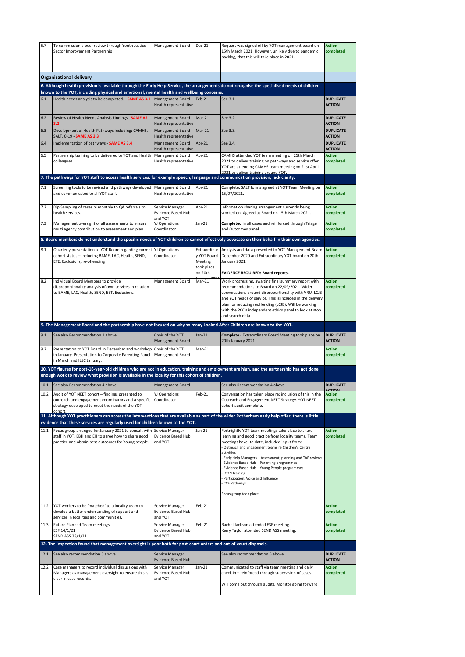| 5.7  | To commission a peer review through Youth Justice                                                                                                                                                                                                                     | Management Board                                                                     | Dec-21                                                          | Request was signed off by YOT management board on                                                                                                                                                                                                                                                                                                                                                                                                                                          | <b>Action</b>                               |
|------|-----------------------------------------------------------------------------------------------------------------------------------------------------------------------------------------------------------------------------------------------------------------------|--------------------------------------------------------------------------------------|-----------------------------------------------------------------|--------------------------------------------------------------------------------------------------------------------------------------------------------------------------------------------------------------------------------------------------------------------------------------------------------------------------------------------------------------------------------------------------------------------------------------------------------------------------------------------|---------------------------------------------|
|      | Sector Improvement Partnership.                                                                                                                                                                                                                                       |                                                                                      |                                                                 | 15th March 2021. However, unlikely due to pandemic<br>backlog, that this will take place in 2021.                                                                                                                                                                                                                                                                                                                                                                                          | completed                                   |
|      |                                                                                                                                                                                                                                                                       |                                                                                      |                                                                 |                                                                                                                                                                                                                                                                                                                                                                                                                                                                                            |                                             |
|      | <b>Organisational delivery</b><br>6. Although health provision is available through the Early Help Service, the arrangements do not recognise the specialised needs of children                                                                                       |                                                                                      |                                                                 |                                                                                                                                                                                                                                                                                                                                                                                                                                                                                            |                                             |
|      | known to the YOT, including physical and emotional, mental health and wellbeing concerns.                                                                                                                                                                             |                                                                                      |                                                                 |                                                                                                                                                                                                                                                                                                                                                                                                                                                                                            |                                             |
| 6.1  | Health needs analysis to be completed. - SAME AS 3.1 Management Board                                                                                                                                                                                                 | Health representative                                                                | Feb-21                                                          | See 3.1.                                                                                                                                                                                                                                                                                                                                                                                                                                                                                   | <b>DUPLICATE</b><br><b>ACTION</b>           |
| 6.2  | Review of Health Needs Analysis Findings - SAME AS<br>3.2                                                                                                                                                                                                             | Management Board<br>Health representative                                            | $Mar-21$                                                        | See 3.2.                                                                                                                                                                                                                                                                                                                                                                                                                                                                                   | <b>DUPLICATE</b><br><b>ACTION</b>           |
| 6.3  | Development of Health Pathways including: CAMHS,<br>SALT, 0-19 - SAME AS 3.3                                                                                                                                                                                          | Management Board<br>Health representative                                            | $Mar-21$                                                        | See 3.3.                                                                                                                                                                                                                                                                                                                                                                                                                                                                                   | <b>DUPLICATE</b><br><b>ACTION</b>           |
| 6.4  | Implementation of pathways - SAME AS 3.4                                                                                                                                                                                                                              | Management Board<br>Health representative                                            | Apr-21                                                          | See 3.4.                                                                                                                                                                                                                                                                                                                                                                                                                                                                                   | <b>DUPLICATE</b><br><b>ACTION</b>           |
| 6.5  | Partnership training to be delivered to YOT and Health<br>colleagues.                                                                                                                                                                                                 | Management Board<br>Health representative                                            | Apr-21                                                          | CAMHS attended YOT team meeting on 25th March<br>2021 to deliver training on pathways and service offer.<br>YOT are attending CAMHS team meeting on 21st April<br>2021 to deliver training around YOT.                                                                                                                                                                                                                                                                                     | <b>Action</b><br>completed                  |
|      | 7. The pathways for YOT staff to access health services, for example speech, language and communication provision, lack clarity.                                                                                                                                      |                                                                                      |                                                                 |                                                                                                                                                                                                                                                                                                                                                                                                                                                                                            |                                             |
| 7.1  | Screening tools to be revised and pathways developed Management Board<br>and communicated to all YOT staff.                                                                                                                                                           | Health representative                                                                | Apr-21                                                          | Complete. SALT forms agreed at YOT Team Meeting on<br>15/07/2021.                                                                                                                                                                                                                                                                                                                                                                                                                          | <b>Action</b><br>completed                  |
| 7.2  | Dip Sampling of cases bi monthly to QA referrals to<br>health services.                                                                                                                                                                                               | Service Manager<br>Evidence Based Hub<br>TOY bns                                     | Apr-21                                                          | Information sharing arrangement currently being<br>worked on. Agreed at Board on 15th March 2021.                                                                                                                                                                                                                                                                                                                                                                                          | <b>Action</b><br>completed                  |
| 7.3  | Management oversight of all assessments to ensure<br>multi agency contribution to assessment and plan.                                                                                                                                                                | <b>YJ Operations</b><br>Coordinator                                                  | $Jan-21$                                                        | Completed in all cases and reinforced through Triage<br>and Outcomes panel                                                                                                                                                                                                                                                                                                                                                                                                                 | <b>Action</b><br>completed                  |
|      | 8. Board members do not understand the specific needs of YOT children so cannot effectively advocate on their behalf in their own agencies.                                                                                                                           |                                                                                      |                                                                 |                                                                                                                                                                                                                                                                                                                                                                                                                                                                                            |                                             |
| 8.1  | Quarterly presentation to YOT Board regarding current YJ Operations<br>cohort status - including BAME, LAC, Health, SEND,<br>ETE, Exclusions, re-offending                                                                                                            | Coordinator                                                                          | Extraordinar<br>v YOT Board<br>Meeting<br>took place<br>on 20th | Analysis and data presented to YOT Management Board<br>December 2020 and Extraordinary YOT board on 20th<br>January 2021.<br><b>EVIDENCE REQUIRED: Board reports.</b>                                                                                                                                                                                                                                                                                                                      | <b>Action</b><br>completed                  |
| 8.2  | Individual Board Members to provide<br>disproportionality analysis of own services in relation<br>to BAME, LAC, Health, SEND, EET, Exclusions.                                                                                                                        | Management Board                                                                     | Mar-21                                                          | Work progressing, awaiting final summary report with<br>recommendations to Board on 22/09/2021. Wider<br>conversations around disproportionality with VRU, LCJB<br>and YOT heads of service. This is included in the delivery<br>plan for reducing reoffending (LCJB). Will be working<br>with the PCC's independent ethics panel to look at stop<br>and search data.                                                                                                                      | <b>Action</b><br>completed                  |
|      |                                                                                                                                                                                                                                                                       |                                                                                      |                                                                 |                                                                                                                                                                                                                                                                                                                                                                                                                                                                                            |                                             |
|      | 9. The Management Board and the partnership have not focused on why so many Looked After Children are known to the YOT.                                                                                                                                               |                                                                                      |                                                                 |                                                                                                                                                                                                                                                                                                                                                                                                                                                                                            |                                             |
| 9.1  | See also Recommendation 1 above.                                                                                                                                                                                                                                      | Chair of the YOT<br>Management Board                                                 | $Jan-21$                                                        | Complete - Extraordinary Board Meeting took place on<br>20th January 2021                                                                                                                                                                                                                                                                                                                                                                                                                  | <b>DUPLICATE</b><br><b>ACTION</b>           |
| 9.2  | Presentation to YOT Board in December and workshop Chair of the YOT<br>in January. Presentation to Corporate Parenting Panel<br>in March and ILSC January.                                                                                                            | Management Board                                                                     | Mar-21                                                          |                                                                                                                                                                                                                                                                                                                                                                                                                                                                                            | <b>Action</b><br>completed                  |
|      | 10. YOT figures for post-16-year-old children who are not in education, training and employment are high, and the partnership has not done                                                                                                                            |                                                                                      |                                                                 |                                                                                                                                                                                                                                                                                                                                                                                                                                                                                            |                                             |
|      | enough work to review what provision is available in the locality for this cohort of children.                                                                                                                                                                        |                                                                                      |                                                                 |                                                                                                                                                                                                                                                                                                                                                                                                                                                                                            |                                             |
| 10.1 | See also Recommendation 4 above.<br>10.2 Audit of YOT NEET cohort - findings presented to                                                                                                                                                                             | Management Board<br><b>YJ Operations</b>                                             | Feb-21                                                          | See also Recommendation 4 above.<br>Conversation has taken place re: inclusion of this in the                                                                                                                                                                                                                                                                                                                                                                                              | <b>DUPLICATE</b><br>CTION<br><b>Action</b>  |
|      | outreach and engagement coordinators and a specific Coordinator<br>strategy developed to meet the needs of the YOT<br>nhort                                                                                                                                           |                                                                                      |                                                                 | Outreach and Engagement NEET Strategy. YOT NEET<br>cohort audit complete.                                                                                                                                                                                                                                                                                                                                                                                                                  | completed                                   |
|      | 11. Although YOT practitioners can access the interventions that are available as part of the wider Rotherham early help offer, there is little                                                                                                                       |                                                                                      |                                                                 |                                                                                                                                                                                                                                                                                                                                                                                                                                                                                            |                                             |
| 11.1 | evidence that these services are regularly used for children known to the YOT.<br>Focus group arranged for January 2021 to consult with Service Manager<br>staff in YOT, EBH and EH to agree how to share good<br>practice and obtain best outcomes for Young people. | <b>Evidence Based Hub</b><br>and YOT                                                 | Jan-21                                                          | Fortnightly YOT team meetings take place to share<br>learning and good practice from locality teams. Team<br>meetings have, to date, included input from:<br>Outreach and Engagement teams re Children's Centre<br>activities<br>Early Help Managers - Assessment, planning and TAF reviews<br>Evidence Based Hub - Parenting programmes<br>Evidence Based Hub - Young People programmes<br>ICON training<br>Participation, Voice and Influence<br>CCE Pathways<br>Focus group took place. | <b>Action</b><br>completed                  |
| 11.2 | YOT workers to be 'matched' to a locality team to<br>develop a better understanding of support and<br>services in localities and communities.                                                                                                                         | Service Manager<br><b>Evidence Based Hub</b><br>and YOT                              | Feb-21                                                          |                                                                                                                                                                                                                                                                                                                                                                                                                                                                                            | <b>Action</b><br>completed                  |
| 11.3 | Future Planned Team meetings:<br>ESF 14/1/21<br><b>SENDIASS 28/1/21</b>                                                                                                                                                                                               | Service Manager<br><b>Evidence Based Hub</b><br>and YOT                              | Feb-21                                                          | Rachel Jackson attended ESF meeting.<br>Kerry Taylor attended SENDIASS meeting.                                                                                                                                                                                                                                                                                                                                                                                                            | <b>Action</b><br>completed                  |
|      | 12. The inspection found that management oversight is poor both for post-court orders and out-of-court disposals.                                                                                                                                                     |                                                                                      |                                                                 |                                                                                                                                                                                                                                                                                                                                                                                                                                                                                            |                                             |
| 12.1 | See also recommendation 5 above.                                                                                                                                                                                                                                      | Service Manager                                                                      |                                                                 | See also recommendation 5 above.                                                                                                                                                                                                                                                                                                                                                                                                                                                           | <b>DUPLICATE</b>                            |
| 12.2 | Case managers to record individual discussions with<br>Managers as management oversight to ensure this is<br>clear in case records.                                                                                                                                   | <b>Evidence Based Hub</b><br>Service Manager<br><b>Evidence Based Hub</b><br>and YOT | Jan-21                                                          | Communicated to staff via team meeting and daily<br>check in - reinforced through supervision of cases.<br>Will come out through audits. Monitor going forward.                                                                                                                                                                                                                                                                                                                            | <b>ACTION</b><br><b>Action</b><br>completed |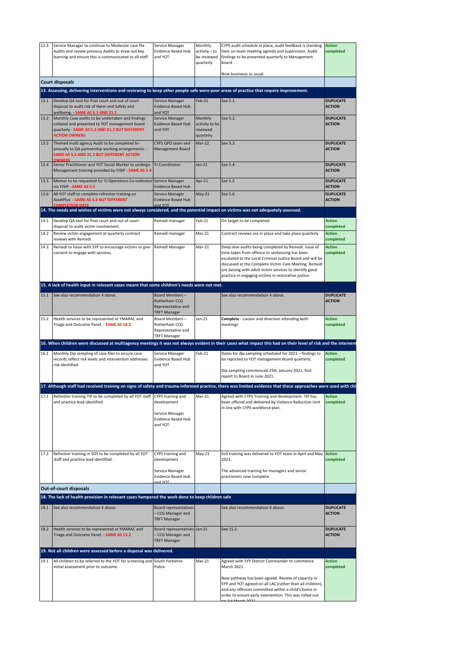| completed<br>Audits and review previous Audits to draw out key<br>Evidence Based Hub<br>activity - to<br>item on team meeting agenda and supervision. Audit<br>learning and ensure this is communicated to all staff<br>and YOT<br>be reviewed<br>findings to be presented quarterly to Management<br>quarterly.<br>board.<br>Now businesss as usual.<br><b>Court disposals</b><br>13. Assessing, delivering interventions and reviewing to keep other people safe were poor areas of practice that require improvement.<br><b>DUPLICATE</b><br>13.1<br>Develop QA tool for Post court and out of court<br>Feb-21<br>See 5.1.<br>Service Manager<br><b>ACTION</b><br>disposal to audit risk of Harm and Safety and<br><b>Evidence Based Hub</b><br>wellbeing. - SAME AS 5.1 AND 21.1<br>and YOT<br>13.2<br>Monthly Case audits to be undertaken and findings<br>Monthly<br>See 5.2.<br>Service Manager<br><b>DUPLICATE</b><br>collated and presented to YOT management board<br><b>Evidence Based Hub</b><br>activity to be<br><b>ACTION</b><br>quarterly - SAME AS 5.2 AND 21.2 BUT DIFFERENT<br>and YOT<br>reviewed<br><b>ACTION OWNERS</b><br>quarterly<br>Mar-22<br>See 5.3.<br><b>DUPLICATE</b><br>13.3<br>Themed multi agency Audit to be completed bi-<br>CYPS QPD team and<br><b>ACTION</b><br>annually to QA partnership working arrangements. -<br>Management Board<br>SAME AS 5.3 AND 21.3 BUT DIFFERENT ACTION<br>13.4<br>$Jan-21$<br>See 5.4.<br>Senior Practitioner and YOT Social Worker to undergo<br>YJ Coordinator<br><b>DUPLICATE</b><br>Management training provided by YJSIP - SAME AS 5.4<br><b>ACTION</b><br>13.5<br>Apr-21<br>See 5.5<br><b>DUPLICATE</b><br>Mentor to be requested for YJ Operations Co-ordinator Service Manager<br>via YJSIP - SAME AS 5.5<br><b>Evidence Based Hub</b><br><b>ACTION</b><br>13.6<br>All YOT staff to complete refresher training on<br>Service Manager<br>$May-21$<br>See 5.6.<br><b>DUPLICATE</b><br><b>ACTION</b><br>AssetPlus - SAME AS 5.6 BUT DIFFERENT<br><b>Evidence Based Hub</b><br><b>COMPLETION DATE</b><br>TOV hne<br>14. The needs and wishes of victims were not always considered, and the potential impact on victims was not adequately assessed.<br>14.1<br>Develop QA tool for Post court and out of court<br>Feb-21<br><b>Action</b><br>Remedi manager<br>On target to be completed<br>completed<br>disposal to audit victim involvement.<br>Mar-21<br>14.2<br>Review victim engagement at quarterly contract<br>Remedi manager<br>Contract reviews are in place and take place quarterly<br><b>Action</b><br>reviews with Remedi.<br>completed<br>$Mar-21$<br>14.3<br>Remedi to liaise with SYP to encourage victims to give<br>Remedi Manager<br>Deep dive audits being completed by Remedi. Issue of<br><b>Action</b><br>time taken from offence to sentencing has been<br>completed<br>consent to engage with services.<br>escalated to the Local Criminal Justice Board and will be<br>discussed at the Complete Victim Care Meeting. Remedi<br>are liaising with adult victim services to identify good<br>practice in engaging victims in restorative justice.<br>15. A lack of health input in relevant cases meant that some children's needs were not met.<br>15.1<br>See also recommendation 4 above.<br>Board Members-<br><b>DUPLICATE</b><br>See also recommendation 4 above.<br><b>ACTION</b><br>Rotherham CCG<br>Representative and<br><b>TRFT Manager</b><br>15.2<br>Board Members-<br>Jan-21<br>Health services to be represented at YMARAC and<br>Complete - Liaison and diversion attending both<br><b>Action</b><br>Rotherham CCG<br>Triage and Outcome Panel. - SAME AS 18.2<br>meetings<br>completed<br>Representative and<br><b>TRFT Manager</b><br>16. When children were discussed at multiagency meetings it was not always evident in their cases what impact this had on their level of risk and the intervent<br>16.1<br>Monthly Dip sampling of case files to ensure case<br>Service Manager<br>Feb-21<br>Dates for dip sampling scheduled for 2021 - findings to<br><b>Action</b><br>records reflect risk levels and intervention addresses<br>Evidence Based Hub<br>be reported to YOT management Board quarterly.<br>completed<br>risk identified.<br>and YOT<br>Dip sampling commenced 25th January 2021, first<br>report to Board in June 2021.<br>17. Although staff had received training on signs of safety and trauma-informed practice, there was limited evidence that these approaches were used with chi<br>17.1<br>Agreed with CYPS Training and development. TIP has<br><b>Action</b><br>Refresher training TIP to be completed by all YOT staff CYPS training and<br>Mar-21<br>and practice lead identified.<br>development<br>been offered and delivered by Violence Reduction Unit<br>completed<br>in line with CYPS workforce plan.<br>Service Manager<br><b>Evidence Based Hub</b><br>and YOT<br>$May-21$<br>17.2<br>Refresher training in SOS to be completed by all YOT<br>CYPS training and<br>SoS training was delivered to YOT team in April and May Action<br>staff and practice lead identified.<br>development<br>2021.<br>completed<br>The advanced training for managers and senior<br>Service Manager<br>Evidence Based Hub<br>practioners now complete.<br><b>TOV</b> bay<br>Out-of-court disposals<br>18. The lack of health provision in relevant cases hampered the work done to keep children safe<br><b>DUPLICATE</b><br><b>Board representatives</b><br>18.1<br>See also recommendation 4 above.<br>See also recommendation 4 above.<br><b>ACTION</b><br>- CCG Manager and<br><b>TRFT Manager</b><br>Health services to be represented at YMARAC and<br>Board representatives Jan-21<br>See 15.2.<br><b>DUPLICATE</b><br>18.2<br>Triage and Outcome Panel. - SAME AS 15.2<br>- CCG Manager and<br><b>ACTION</b><br><b>TRFT Manager</b><br>19. Not all children were assessed before a disposal was delivered.<br>All children to be referred to the YOT for screening and South Yorkshire<br>Mar-21<br>Agreed with SYP District Commander to commence<br>19.1<br><b>Action</b><br>initial assessment prior to outcome.<br>Police<br>March 2021.<br>completed<br>New pathway has been agreed. Review of capacity in<br>SYP and YOT agreed on all LAC (rather than all children),<br>and any offences committed within a child's home in<br>order to ensure early intervention. This was rolled out | 12.3 | Service Manager to continue to Moderate case file | Service Manager | Monthly | CYPS audit schedule in place, audit feedback is standing | <b>Action</b> |
|------------------------------------------------------------------------------------------------------------------------------------------------------------------------------------------------------------------------------------------------------------------------------------------------------------------------------------------------------------------------------------------------------------------------------------------------------------------------------------------------------------------------------------------------------------------------------------------------------------------------------------------------------------------------------------------------------------------------------------------------------------------------------------------------------------------------------------------------------------------------------------------------------------------------------------------------------------------------------------------------------------------------------------------------------------------------------------------------------------------------------------------------------------------------------------------------------------------------------------------------------------------------------------------------------------------------------------------------------------------------------------------------------------------------------------------------------------------------------------------------------------------------------------------------------------------------------------------------------------------------------------------------------------------------------------------------------------------------------------------------------------------------------------------------------------------------------------------------------------------------------------------------------------------------------------------------------------------------------------------------------------------------------------------------------------------------------------------------------------------------------------------------------------------------------------------------------------------------------------------------------------------------------------------------------------------------------------------------------------------------------------------------------------------------------------------------------------------------------------------------------------------------------------------------------------------------------------------------------------------------------------------------------------------------------------------------------------------------------------------------------------------------------------------------------------------------------------------------------------------------------------------------------------------------------------------------------------------------------------------------------------------------------------------------------------------------------------------------------------------------------------------------------------------------------------------------------------------------------------------------------------------------------------------------------------------------------------------------------------------------------------------------------------------------------------------------------------------------------------------------------------------------------------------------------------------------------------------------------------------------------------------------------------------------------------------------------------------------------------------------------------------------------------------------------------------------------------------------------------------------------------------------------------------------------------------------------------------------------------------------------------------------------------------------------------------------------------------------------------------------------------------------------------------------------------------------------------------------------------------------------------------------------------------------------------------------------------------------------------------------------------------------------------------------------------------------------------------------------------------------------------------------------------------------------------------------------------------------------------------------------------------------------------------------------------------------------------------------------------------------------------------------------------------------------------------------------------------------------------------------------------------------------------------------------------------------------------------------------------------------------------------------------------------------------------------------------------------------------------------------------------------------------------------------------------------------------------------------------------------------------------------------------------------------------------------------------------------------------------------------------------------------------------------------------------------------------------------------------------------------------------------------------------------------------------------------------------------------------------------------------------------------------------------------------------------------------------------------------------------------------------------------------------------------------------------------------------------------------------------------------------------------------------------------------------------------------------------------------------------------------------------------------------------------------------------------------------------------------------------------------------------------------------------------------------------------------------------------------------------------------------------------------------------------------------------------------------------------------------------------------------------------------------------------------------------------------|------|---------------------------------------------------|-----------------|---------|----------------------------------------------------------|---------------|
|                                                                                                                                                                                                                                                                                                                                                                                                                                                                                                                                                                                                                                                                                                                                                                                                                                                                                                                                                                                                                                                                                                                                                                                                                                                                                                                                                                                                                                                                                                                                                                                                                                                                                                                                                                                                                                                                                                                                                                                                                                                                                                                                                                                                                                                                                                                                                                                                                                                                                                                                                                                                                                                                                                                                                                                                                                                                                                                                                                                                                                                                                                                                                                                                                                                                                                                                                                                                                                                                                                                                                                                                                                                                                                                                                                                                                                                                                                                                                                                                                                                                                                                                                                                                                                                                                                                                                                                                                                                                                                                                                                                                                                                                                                                                                                                                                                                                                                                                                                                                                                                                                                                                                                                                                                                                                                                                                                                                                                                                                                                                                                                                                                                                                                                                                                                                                                                                                                                                                                                                                                                                                                                                                                                                                                                                                                                                                                                                                                                      |      |                                                   |                 |         |                                                          |               |
|                                                                                                                                                                                                                                                                                                                                                                                                                                                                                                                                                                                                                                                                                                                                                                                                                                                                                                                                                                                                                                                                                                                                                                                                                                                                                                                                                                                                                                                                                                                                                                                                                                                                                                                                                                                                                                                                                                                                                                                                                                                                                                                                                                                                                                                                                                                                                                                                                                                                                                                                                                                                                                                                                                                                                                                                                                                                                                                                                                                                                                                                                                                                                                                                                                                                                                                                                                                                                                                                                                                                                                                                                                                                                                                                                                                                                                                                                                                                                                                                                                                                                                                                                                                                                                                                                                                                                                                                                                                                                                                                                                                                                                                                                                                                                                                                                                                                                                                                                                                                                                                                                                                                                                                                                                                                                                                                                                                                                                                                                                                                                                                                                                                                                                                                                                                                                                                                                                                                                                                                                                                                                                                                                                                                                                                                                                                                                                                                                                                      |      |                                                   |                 |         |                                                          |               |
|                                                                                                                                                                                                                                                                                                                                                                                                                                                                                                                                                                                                                                                                                                                                                                                                                                                                                                                                                                                                                                                                                                                                                                                                                                                                                                                                                                                                                                                                                                                                                                                                                                                                                                                                                                                                                                                                                                                                                                                                                                                                                                                                                                                                                                                                                                                                                                                                                                                                                                                                                                                                                                                                                                                                                                                                                                                                                                                                                                                                                                                                                                                                                                                                                                                                                                                                                                                                                                                                                                                                                                                                                                                                                                                                                                                                                                                                                                                                                                                                                                                                                                                                                                                                                                                                                                                                                                                                                                                                                                                                                                                                                                                                                                                                                                                                                                                                                                                                                                                                                                                                                                                                                                                                                                                                                                                                                                                                                                                                                                                                                                                                                                                                                                                                                                                                                                                                                                                                                                                                                                                                                                                                                                                                                                                                                                                                                                                                                                                      |      |                                                   |                 |         |                                                          |               |
|                                                                                                                                                                                                                                                                                                                                                                                                                                                                                                                                                                                                                                                                                                                                                                                                                                                                                                                                                                                                                                                                                                                                                                                                                                                                                                                                                                                                                                                                                                                                                                                                                                                                                                                                                                                                                                                                                                                                                                                                                                                                                                                                                                                                                                                                                                                                                                                                                                                                                                                                                                                                                                                                                                                                                                                                                                                                                                                                                                                                                                                                                                                                                                                                                                                                                                                                                                                                                                                                                                                                                                                                                                                                                                                                                                                                                                                                                                                                                                                                                                                                                                                                                                                                                                                                                                                                                                                                                                                                                                                                                                                                                                                                                                                                                                                                                                                                                                                                                                                                                                                                                                                                                                                                                                                                                                                                                                                                                                                                                                                                                                                                                                                                                                                                                                                                                                                                                                                                                                                                                                                                                                                                                                                                                                                                                                                                                                                                                                                      |      |                                                   |                 |         |                                                          |               |
|                                                                                                                                                                                                                                                                                                                                                                                                                                                                                                                                                                                                                                                                                                                                                                                                                                                                                                                                                                                                                                                                                                                                                                                                                                                                                                                                                                                                                                                                                                                                                                                                                                                                                                                                                                                                                                                                                                                                                                                                                                                                                                                                                                                                                                                                                                                                                                                                                                                                                                                                                                                                                                                                                                                                                                                                                                                                                                                                                                                                                                                                                                                                                                                                                                                                                                                                                                                                                                                                                                                                                                                                                                                                                                                                                                                                                                                                                                                                                                                                                                                                                                                                                                                                                                                                                                                                                                                                                                                                                                                                                                                                                                                                                                                                                                                                                                                                                                                                                                                                                                                                                                                                                                                                                                                                                                                                                                                                                                                                                                                                                                                                                                                                                                                                                                                                                                                                                                                                                                                                                                                                                                                                                                                                                                                                                                                                                                                                                                                      |      |                                                   |                 |         |                                                          |               |
|                                                                                                                                                                                                                                                                                                                                                                                                                                                                                                                                                                                                                                                                                                                                                                                                                                                                                                                                                                                                                                                                                                                                                                                                                                                                                                                                                                                                                                                                                                                                                                                                                                                                                                                                                                                                                                                                                                                                                                                                                                                                                                                                                                                                                                                                                                                                                                                                                                                                                                                                                                                                                                                                                                                                                                                                                                                                                                                                                                                                                                                                                                                                                                                                                                                                                                                                                                                                                                                                                                                                                                                                                                                                                                                                                                                                                                                                                                                                                                                                                                                                                                                                                                                                                                                                                                                                                                                                                                                                                                                                                                                                                                                                                                                                                                                                                                                                                                                                                                                                                                                                                                                                                                                                                                                                                                                                                                                                                                                                                                                                                                                                                                                                                                                                                                                                                                                                                                                                                                                                                                                                                                                                                                                                                                                                                                                                                                                                                                                      |      |                                                   |                 |         |                                                          |               |
|                                                                                                                                                                                                                                                                                                                                                                                                                                                                                                                                                                                                                                                                                                                                                                                                                                                                                                                                                                                                                                                                                                                                                                                                                                                                                                                                                                                                                                                                                                                                                                                                                                                                                                                                                                                                                                                                                                                                                                                                                                                                                                                                                                                                                                                                                                                                                                                                                                                                                                                                                                                                                                                                                                                                                                                                                                                                                                                                                                                                                                                                                                                                                                                                                                                                                                                                                                                                                                                                                                                                                                                                                                                                                                                                                                                                                                                                                                                                                                                                                                                                                                                                                                                                                                                                                                                                                                                                                                                                                                                                                                                                                                                                                                                                                                                                                                                                                                                                                                                                                                                                                                                                                                                                                                                                                                                                                                                                                                                                                                                                                                                                                                                                                                                                                                                                                                                                                                                                                                                                                                                                                                                                                                                                                                                                                                                                                                                                                                                      |      |                                                   |                 |         |                                                          |               |
|                                                                                                                                                                                                                                                                                                                                                                                                                                                                                                                                                                                                                                                                                                                                                                                                                                                                                                                                                                                                                                                                                                                                                                                                                                                                                                                                                                                                                                                                                                                                                                                                                                                                                                                                                                                                                                                                                                                                                                                                                                                                                                                                                                                                                                                                                                                                                                                                                                                                                                                                                                                                                                                                                                                                                                                                                                                                                                                                                                                                                                                                                                                                                                                                                                                                                                                                                                                                                                                                                                                                                                                                                                                                                                                                                                                                                                                                                                                                                                                                                                                                                                                                                                                                                                                                                                                                                                                                                                                                                                                                                                                                                                                                                                                                                                                                                                                                                                                                                                                                                                                                                                                                                                                                                                                                                                                                                                                                                                                                                                                                                                                                                                                                                                                                                                                                                                                                                                                                                                                                                                                                                                                                                                                                                                                                                                                                                                                                                                                      |      |                                                   |                 |         |                                                          |               |
|                                                                                                                                                                                                                                                                                                                                                                                                                                                                                                                                                                                                                                                                                                                                                                                                                                                                                                                                                                                                                                                                                                                                                                                                                                                                                                                                                                                                                                                                                                                                                                                                                                                                                                                                                                                                                                                                                                                                                                                                                                                                                                                                                                                                                                                                                                                                                                                                                                                                                                                                                                                                                                                                                                                                                                                                                                                                                                                                                                                                                                                                                                                                                                                                                                                                                                                                                                                                                                                                                                                                                                                                                                                                                                                                                                                                                                                                                                                                                                                                                                                                                                                                                                                                                                                                                                                                                                                                                                                                                                                                                                                                                                                                                                                                                                                                                                                                                                                                                                                                                                                                                                                                                                                                                                                                                                                                                                                                                                                                                                                                                                                                                                                                                                                                                                                                                                                                                                                                                                                                                                                                                                                                                                                                                                                                                                                                                                                                                                                      |      |                                                   |                 |         |                                                          |               |
|                                                                                                                                                                                                                                                                                                                                                                                                                                                                                                                                                                                                                                                                                                                                                                                                                                                                                                                                                                                                                                                                                                                                                                                                                                                                                                                                                                                                                                                                                                                                                                                                                                                                                                                                                                                                                                                                                                                                                                                                                                                                                                                                                                                                                                                                                                                                                                                                                                                                                                                                                                                                                                                                                                                                                                                                                                                                                                                                                                                                                                                                                                                                                                                                                                                                                                                                                                                                                                                                                                                                                                                                                                                                                                                                                                                                                                                                                                                                                                                                                                                                                                                                                                                                                                                                                                                                                                                                                                                                                                                                                                                                                                                                                                                                                                                                                                                                                                                                                                                                                                                                                                                                                                                                                                                                                                                                                                                                                                                                                                                                                                                                                                                                                                                                                                                                                                                                                                                                                                                                                                                                                                                                                                                                                                                                                                                                                                                                                                                      |      |                                                   |                 |         |                                                          |               |
|                                                                                                                                                                                                                                                                                                                                                                                                                                                                                                                                                                                                                                                                                                                                                                                                                                                                                                                                                                                                                                                                                                                                                                                                                                                                                                                                                                                                                                                                                                                                                                                                                                                                                                                                                                                                                                                                                                                                                                                                                                                                                                                                                                                                                                                                                                                                                                                                                                                                                                                                                                                                                                                                                                                                                                                                                                                                                                                                                                                                                                                                                                                                                                                                                                                                                                                                                                                                                                                                                                                                                                                                                                                                                                                                                                                                                                                                                                                                                                                                                                                                                                                                                                                                                                                                                                                                                                                                                                                                                                                                                                                                                                                                                                                                                                                                                                                                                                                                                                                                                                                                                                                                                                                                                                                                                                                                                                                                                                                                                                                                                                                                                                                                                                                                                                                                                                                                                                                                                                                                                                                                                                                                                                                                                                                                                                                                                                                                                                                      |      |                                                   |                 |         |                                                          |               |
|                                                                                                                                                                                                                                                                                                                                                                                                                                                                                                                                                                                                                                                                                                                                                                                                                                                                                                                                                                                                                                                                                                                                                                                                                                                                                                                                                                                                                                                                                                                                                                                                                                                                                                                                                                                                                                                                                                                                                                                                                                                                                                                                                                                                                                                                                                                                                                                                                                                                                                                                                                                                                                                                                                                                                                                                                                                                                                                                                                                                                                                                                                                                                                                                                                                                                                                                                                                                                                                                                                                                                                                                                                                                                                                                                                                                                                                                                                                                                                                                                                                                                                                                                                                                                                                                                                                                                                                                                                                                                                                                                                                                                                                                                                                                                                                                                                                                                                                                                                                                                                                                                                                                                                                                                                                                                                                                                                                                                                                                                                                                                                                                                                                                                                                                                                                                                                                                                                                                                                                                                                                                                                                                                                                                                                                                                                                                                                                                                                                      |      |                                                   |                 |         |                                                          |               |
|                                                                                                                                                                                                                                                                                                                                                                                                                                                                                                                                                                                                                                                                                                                                                                                                                                                                                                                                                                                                                                                                                                                                                                                                                                                                                                                                                                                                                                                                                                                                                                                                                                                                                                                                                                                                                                                                                                                                                                                                                                                                                                                                                                                                                                                                                                                                                                                                                                                                                                                                                                                                                                                                                                                                                                                                                                                                                                                                                                                                                                                                                                                                                                                                                                                                                                                                                                                                                                                                                                                                                                                                                                                                                                                                                                                                                                                                                                                                                                                                                                                                                                                                                                                                                                                                                                                                                                                                                                                                                                                                                                                                                                                                                                                                                                                                                                                                                                                                                                                                                                                                                                                                                                                                                                                                                                                                                                                                                                                                                                                                                                                                                                                                                                                                                                                                                                                                                                                                                                                                                                                                                                                                                                                                                                                                                                                                                                                                                                                      |      |                                                   |                 |         |                                                          |               |
|                                                                                                                                                                                                                                                                                                                                                                                                                                                                                                                                                                                                                                                                                                                                                                                                                                                                                                                                                                                                                                                                                                                                                                                                                                                                                                                                                                                                                                                                                                                                                                                                                                                                                                                                                                                                                                                                                                                                                                                                                                                                                                                                                                                                                                                                                                                                                                                                                                                                                                                                                                                                                                                                                                                                                                                                                                                                                                                                                                                                                                                                                                                                                                                                                                                                                                                                                                                                                                                                                                                                                                                                                                                                                                                                                                                                                                                                                                                                                                                                                                                                                                                                                                                                                                                                                                                                                                                                                                                                                                                                                                                                                                                                                                                                                                                                                                                                                                                                                                                                                                                                                                                                                                                                                                                                                                                                                                                                                                                                                                                                                                                                                                                                                                                                                                                                                                                                                                                                                                                                                                                                                                                                                                                                                                                                                                                                                                                                                                                      |      |                                                   |                 |         |                                                          |               |
|                                                                                                                                                                                                                                                                                                                                                                                                                                                                                                                                                                                                                                                                                                                                                                                                                                                                                                                                                                                                                                                                                                                                                                                                                                                                                                                                                                                                                                                                                                                                                                                                                                                                                                                                                                                                                                                                                                                                                                                                                                                                                                                                                                                                                                                                                                                                                                                                                                                                                                                                                                                                                                                                                                                                                                                                                                                                                                                                                                                                                                                                                                                                                                                                                                                                                                                                                                                                                                                                                                                                                                                                                                                                                                                                                                                                                                                                                                                                                                                                                                                                                                                                                                                                                                                                                                                                                                                                                                                                                                                                                                                                                                                                                                                                                                                                                                                                                                                                                                                                                                                                                                                                                                                                                                                                                                                                                                                                                                                                                                                                                                                                                                                                                                                                                                                                                                                                                                                                                                                                                                                                                                                                                                                                                                                                                                                                                                                                                                                      |      |                                                   |                 |         |                                                          |               |
|                                                                                                                                                                                                                                                                                                                                                                                                                                                                                                                                                                                                                                                                                                                                                                                                                                                                                                                                                                                                                                                                                                                                                                                                                                                                                                                                                                                                                                                                                                                                                                                                                                                                                                                                                                                                                                                                                                                                                                                                                                                                                                                                                                                                                                                                                                                                                                                                                                                                                                                                                                                                                                                                                                                                                                                                                                                                                                                                                                                                                                                                                                                                                                                                                                                                                                                                                                                                                                                                                                                                                                                                                                                                                                                                                                                                                                                                                                                                                                                                                                                                                                                                                                                                                                                                                                                                                                                                                                                                                                                                                                                                                                                                                                                                                                                                                                                                                                                                                                                                                                                                                                                                                                                                                                                                                                                                                                                                                                                                                                                                                                                                                                                                                                                                                                                                                                                                                                                                                                                                                                                                                                                                                                                                                                                                                                                                                                                                                                                      |      |                                                   |                 |         |                                                          |               |
|                                                                                                                                                                                                                                                                                                                                                                                                                                                                                                                                                                                                                                                                                                                                                                                                                                                                                                                                                                                                                                                                                                                                                                                                                                                                                                                                                                                                                                                                                                                                                                                                                                                                                                                                                                                                                                                                                                                                                                                                                                                                                                                                                                                                                                                                                                                                                                                                                                                                                                                                                                                                                                                                                                                                                                                                                                                                                                                                                                                                                                                                                                                                                                                                                                                                                                                                                                                                                                                                                                                                                                                                                                                                                                                                                                                                                                                                                                                                                                                                                                                                                                                                                                                                                                                                                                                                                                                                                                                                                                                                                                                                                                                                                                                                                                                                                                                                                                                                                                                                                                                                                                                                                                                                                                                                                                                                                                                                                                                                                                                                                                                                                                                                                                                                                                                                                                                                                                                                                                                                                                                                                                                                                                                                                                                                                                                                                                                                                                                      |      |                                                   |                 |         |                                                          |               |
|                                                                                                                                                                                                                                                                                                                                                                                                                                                                                                                                                                                                                                                                                                                                                                                                                                                                                                                                                                                                                                                                                                                                                                                                                                                                                                                                                                                                                                                                                                                                                                                                                                                                                                                                                                                                                                                                                                                                                                                                                                                                                                                                                                                                                                                                                                                                                                                                                                                                                                                                                                                                                                                                                                                                                                                                                                                                                                                                                                                                                                                                                                                                                                                                                                                                                                                                                                                                                                                                                                                                                                                                                                                                                                                                                                                                                                                                                                                                                                                                                                                                                                                                                                                                                                                                                                                                                                                                                                                                                                                                                                                                                                                                                                                                                                                                                                                                                                                                                                                                                                                                                                                                                                                                                                                                                                                                                                                                                                                                                                                                                                                                                                                                                                                                                                                                                                                                                                                                                                                                                                                                                                                                                                                                                                                                                                                                                                                                                                                      |      |                                                   |                 |         |                                                          |               |
|                                                                                                                                                                                                                                                                                                                                                                                                                                                                                                                                                                                                                                                                                                                                                                                                                                                                                                                                                                                                                                                                                                                                                                                                                                                                                                                                                                                                                                                                                                                                                                                                                                                                                                                                                                                                                                                                                                                                                                                                                                                                                                                                                                                                                                                                                                                                                                                                                                                                                                                                                                                                                                                                                                                                                                                                                                                                                                                                                                                                                                                                                                                                                                                                                                                                                                                                                                                                                                                                                                                                                                                                                                                                                                                                                                                                                                                                                                                                                                                                                                                                                                                                                                                                                                                                                                                                                                                                                                                                                                                                                                                                                                                                                                                                                                                                                                                                                                                                                                                                                                                                                                                                                                                                                                                                                                                                                                                                                                                                                                                                                                                                                                                                                                                                                                                                                                                                                                                                                                                                                                                                                                                                                                                                                                                                                                                                                                                                                                                      |      |                                                   |                 |         |                                                          |               |
|                                                                                                                                                                                                                                                                                                                                                                                                                                                                                                                                                                                                                                                                                                                                                                                                                                                                                                                                                                                                                                                                                                                                                                                                                                                                                                                                                                                                                                                                                                                                                                                                                                                                                                                                                                                                                                                                                                                                                                                                                                                                                                                                                                                                                                                                                                                                                                                                                                                                                                                                                                                                                                                                                                                                                                                                                                                                                                                                                                                                                                                                                                                                                                                                                                                                                                                                                                                                                                                                                                                                                                                                                                                                                                                                                                                                                                                                                                                                                                                                                                                                                                                                                                                                                                                                                                                                                                                                                                                                                                                                                                                                                                                                                                                                                                                                                                                                                                                                                                                                                                                                                                                                                                                                                                                                                                                                                                                                                                                                                                                                                                                                                                                                                                                                                                                                                                                                                                                                                                                                                                                                                                                                                                                                                                                                                                                                                                                                                                                      |      |                                                   |                 |         |                                                          |               |
|                                                                                                                                                                                                                                                                                                                                                                                                                                                                                                                                                                                                                                                                                                                                                                                                                                                                                                                                                                                                                                                                                                                                                                                                                                                                                                                                                                                                                                                                                                                                                                                                                                                                                                                                                                                                                                                                                                                                                                                                                                                                                                                                                                                                                                                                                                                                                                                                                                                                                                                                                                                                                                                                                                                                                                                                                                                                                                                                                                                                                                                                                                                                                                                                                                                                                                                                                                                                                                                                                                                                                                                                                                                                                                                                                                                                                                                                                                                                                                                                                                                                                                                                                                                                                                                                                                                                                                                                                                                                                                                                                                                                                                                                                                                                                                                                                                                                                                                                                                                                                                                                                                                                                                                                                                                                                                                                                                                                                                                                                                                                                                                                                                                                                                                                                                                                                                                                                                                                                                                                                                                                                                                                                                                                                                                                                                                                                                                                                                                      |      |                                                   |                 |         |                                                          |               |
|                                                                                                                                                                                                                                                                                                                                                                                                                                                                                                                                                                                                                                                                                                                                                                                                                                                                                                                                                                                                                                                                                                                                                                                                                                                                                                                                                                                                                                                                                                                                                                                                                                                                                                                                                                                                                                                                                                                                                                                                                                                                                                                                                                                                                                                                                                                                                                                                                                                                                                                                                                                                                                                                                                                                                                                                                                                                                                                                                                                                                                                                                                                                                                                                                                                                                                                                                                                                                                                                                                                                                                                                                                                                                                                                                                                                                                                                                                                                                                                                                                                                                                                                                                                                                                                                                                                                                                                                                                                                                                                                                                                                                                                                                                                                                                                                                                                                                                                                                                                                                                                                                                                                                                                                                                                                                                                                                                                                                                                                                                                                                                                                                                                                                                                                                                                                                                                                                                                                                                                                                                                                                                                                                                                                                                                                                                                                                                                                                                                      |      |                                                   |                 |         |                                                          |               |
|                                                                                                                                                                                                                                                                                                                                                                                                                                                                                                                                                                                                                                                                                                                                                                                                                                                                                                                                                                                                                                                                                                                                                                                                                                                                                                                                                                                                                                                                                                                                                                                                                                                                                                                                                                                                                                                                                                                                                                                                                                                                                                                                                                                                                                                                                                                                                                                                                                                                                                                                                                                                                                                                                                                                                                                                                                                                                                                                                                                                                                                                                                                                                                                                                                                                                                                                                                                                                                                                                                                                                                                                                                                                                                                                                                                                                                                                                                                                                                                                                                                                                                                                                                                                                                                                                                                                                                                                                                                                                                                                                                                                                                                                                                                                                                                                                                                                                                                                                                                                                                                                                                                                                                                                                                                                                                                                                                                                                                                                                                                                                                                                                                                                                                                                                                                                                                                                                                                                                                                                                                                                                                                                                                                                                                                                                                                                                                                                                                                      |      |                                                   |                 |         |                                                          |               |
|                                                                                                                                                                                                                                                                                                                                                                                                                                                                                                                                                                                                                                                                                                                                                                                                                                                                                                                                                                                                                                                                                                                                                                                                                                                                                                                                                                                                                                                                                                                                                                                                                                                                                                                                                                                                                                                                                                                                                                                                                                                                                                                                                                                                                                                                                                                                                                                                                                                                                                                                                                                                                                                                                                                                                                                                                                                                                                                                                                                                                                                                                                                                                                                                                                                                                                                                                                                                                                                                                                                                                                                                                                                                                                                                                                                                                                                                                                                                                                                                                                                                                                                                                                                                                                                                                                                                                                                                                                                                                                                                                                                                                                                                                                                                                                                                                                                                                                                                                                                                                                                                                                                                                                                                                                                                                                                                                                                                                                                                                                                                                                                                                                                                                                                                                                                                                                                                                                                                                                                                                                                                                                                                                                                                                                                                                                                                                                                                                                                      |      |                                                   |                 |         |                                                          |               |
|                                                                                                                                                                                                                                                                                                                                                                                                                                                                                                                                                                                                                                                                                                                                                                                                                                                                                                                                                                                                                                                                                                                                                                                                                                                                                                                                                                                                                                                                                                                                                                                                                                                                                                                                                                                                                                                                                                                                                                                                                                                                                                                                                                                                                                                                                                                                                                                                                                                                                                                                                                                                                                                                                                                                                                                                                                                                                                                                                                                                                                                                                                                                                                                                                                                                                                                                                                                                                                                                                                                                                                                                                                                                                                                                                                                                                                                                                                                                                                                                                                                                                                                                                                                                                                                                                                                                                                                                                                                                                                                                                                                                                                                                                                                                                                                                                                                                                                                                                                                                                                                                                                                                                                                                                                                                                                                                                                                                                                                                                                                                                                                                                                                                                                                                                                                                                                                                                                                                                                                                                                                                                                                                                                                                                                                                                                                                                                                                                                                      |      |                                                   |                 |         |                                                          |               |
|                                                                                                                                                                                                                                                                                                                                                                                                                                                                                                                                                                                                                                                                                                                                                                                                                                                                                                                                                                                                                                                                                                                                                                                                                                                                                                                                                                                                                                                                                                                                                                                                                                                                                                                                                                                                                                                                                                                                                                                                                                                                                                                                                                                                                                                                                                                                                                                                                                                                                                                                                                                                                                                                                                                                                                                                                                                                                                                                                                                                                                                                                                                                                                                                                                                                                                                                                                                                                                                                                                                                                                                                                                                                                                                                                                                                                                                                                                                                                                                                                                                                                                                                                                                                                                                                                                                                                                                                                                                                                                                                                                                                                                                                                                                                                                                                                                                                                                                                                                                                                                                                                                                                                                                                                                                                                                                                                                                                                                                                                                                                                                                                                                                                                                                                                                                                                                                                                                                                                                                                                                                                                                                                                                                                                                                                                                                                                                                                                                                      |      |                                                   |                 |         |                                                          |               |
|                                                                                                                                                                                                                                                                                                                                                                                                                                                                                                                                                                                                                                                                                                                                                                                                                                                                                                                                                                                                                                                                                                                                                                                                                                                                                                                                                                                                                                                                                                                                                                                                                                                                                                                                                                                                                                                                                                                                                                                                                                                                                                                                                                                                                                                                                                                                                                                                                                                                                                                                                                                                                                                                                                                                                                                                                                                                                                                                                                                                                                                                                                                                                                                                                                                                                                                                                                                                                                                                                                                                                                                                                                                                                                                                                                                                                                                                                                                                                                                                                                                                                                                                                                                                                                                                                                                                                                                                                                                                                                                                                                                                                                                                                                                                                                                                                                                                                                                                                                                                                                                                                                                                                                                                                                                                                                                                                                                                                                                                                                                                                                                                                                                                                                                                                                                                                                                                                                                                                                                                                                                                                                                                                                                                                                                                                                                                                                                                                                                      |      |                                                   |                 |         |                                                          |               |
|                                                                                                                                                                                                                                                                                                                                                                                                                                                                                                                                                                                                                                                                                                                                                                                                                                                                                                                                                                                                                                                                                                                                                                                                                                                                                                                                                                                                                                                                                                                                                                                                                                                                                                                                                                                                                                                                                                                                                                                                                                                                                                                                                                                                                                                                                                                                                                                                                                                                                                                                                                                                                                                                                                                                                                                                                                                                                                                                                                                                                                                                                                                                                                                                                                                                                                                                                                                                                                                                                                                                                                                                                                                                                                                                                                                                                                                                                                                                                                                                                                                                                                                                                                                                                                                                                                                                                                                                                                                                                                                                                                                                                                                                                                                                                                                                                                                                                                                                                                                                                                                                                                                                                                                                                                                                                                                                                                                                                                                                                                                                                                                                                                                                                                                                                                                                                                                                                                                                                                                                                                                                                                                                                                                                                                                                                                                                                                                                                                                      |      |                                                   |                 |         |                                                          |               |
|                                                                                                                                                                                                                                                                                                                                                                                                                                                                                                                                                                                                                                                                                                                                                                                                                                                                                                                                                                                                                                                                                                                                                                                                                                                                                                                                                                                                                                                                                                                                                                                                                                                                                                                                                                                                                                                                                                                                                                                                                                                                                                                                                                                                                                                                                                                                                                                                                                                                                                                                                                                                                                                                                                                                                                                                                                                                                                                                                                                                                                                                                                                                                                                                                                                                                                                                                                                                                                                                                                                                                                                                                                                                                                                                                                                                                                                                                                                                                                                                                                                                                                                                                                                                                                                                                                                                                                                                                                                                                                                                                                                                                                                                                                                                                                                                                                                                                                                                                                                                                                                                                                                                                                                                                                                                                                                                                                                                                                                                                                                                                                                                                                                                                                                                                                                                                                                                                                                                                                                                                                                                                                                                                                                                                                                                                                                                                                                                                                                      |      |                                                   |                 |         |                                                          |               |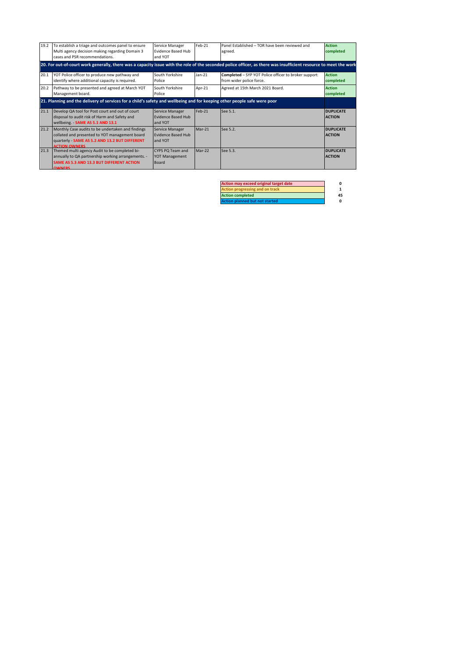| 19.2 | To establish a triage and outcomes panel to ensure<br>Multi agency decision making regarding Domain 3<br>cases and PSR recommendations.                                       | Service Manager<br><b>Evidence Based Hub</b><br>and YOT   | Feb-21   | Panel Established - TOR have been reviewed and<br>agreed.                                                                                                         | <b>Action</b><br>completed        |
|------|-------------------------------------------------------------------------------------------------------------------------------------------------------------------------------|-----------------------------------------------------------|----------|-------------------------------------------------------------------------------------------------------------------------------------------------------------------|-----------------------------------|
|      |                                                                                                                                                                               |                                                           |          | 20. For out-of-court work generally, there was a capacity issue with the role of the seconded police officer, as there was insufficient resource to meet the work |                                   |
| 20.1 | YOT Police officer to produce new pathway and<br>identify where additional capacity is required.                                                                              | South Yorkshire<br>Police                                 | $lan-21$ | Completed - SYP YOT Police officer to broker support<br>from wider police force.                                                                                  | <b>Action</b><br>completed        |
| 20.2 | Pathway to be presented and agreed at March YOT<br>Management board.                                                                                                          | South Yorkshire<br>Police                                 | Apr-21   | Agreed at 15th March 2021 Board.                                                                                                                                  | <b>Action</b><br>completed        |
|      | 21. Planning and the delivery of services for a child's safety and wellbeing and for keeping other people safe were poor                                                      |                                                           |          |                                                                                                                                                                   |                                   |
| 21.1 | Develop QA tool for Post court and out of court<br>disposal to audit risk of Harm and Safety and<br>wellbeing. - SAME AS 5.1 AND 13.1                                         | Service Manager<br><b>Evidence Based Hub</b><br>and YOT   | $Feh-21$ | See 5.1.                                                                                                                                                          | <b>DUPLICATE</b><br><b>ACTION</b> |
| 21.2 | Monthly Case audits to be undertaken and findings<br>collated and presented to YOT management board<br>quarterly - SAME AS 5.2 AND 13.2 BUT DIFFERENT<br><b>ACTION OWNERS</b> | Service Manager<br><b>Evidence Based Hub</b><br>and YOT   | $Mar-21$ | See 5.2.                                                                                                                                                          | <b>DUPLICATE</b><br><b>ACTION</b> |
| 21.3 | Themed multi agency Audit to be completed bi-<br>annually to QA partnership working arrangements. -<br>SAME AS 5.3 AND 13.3 BUT DIFFERENT ACTION<br><b>OWNERS</b>             | CYPS PO Team and<br><b>YOT Management</b><br><b>Board</b> | $Mar-22$ | See 5.3.                                                                                                                                                          | <b>DUPLICATE</b><br><b>ACTION</b> |

| Action may exceed original target date |    |
|----------------------------------------|----|
| Action progressing and on track        |    |
| <b>Action completed</b>                | 45 |
| <b>Action planned but not started</b>  |    |